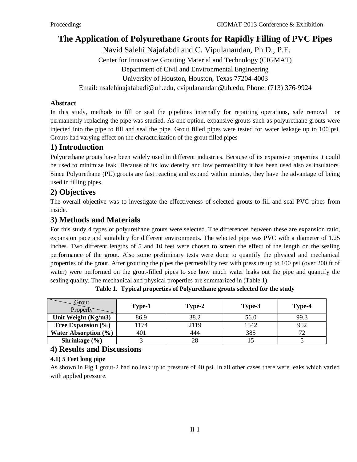# **The Application of Polyurethane Grouts for Rapidly Filling of PVC Pipes**

Navid Salehi Najafabdi and C. Vipulanandan, Ph.D., P.E. Center for Innovative Grouting Material and Technology (CIGMAT) Department of Civil and Environmental Engineering University of Houston, Houston, Texas 77204-4003

Email: nsalehinajafabadi@uh.edu, [cvipulanandan@uh.edu,](mailto:cvipulanandan@uh.edu) Phone: (713) 376-9924

#### **Abstract**

In this study, methods to fill or seal the pipelines internally for repairing operations, safe removal or permanently replacing the pipe was studied. As one option, expansive grouts such as polyurethane grouts were injected into the pipe to fill and seal the pipe. Grout filled pipes were tested for water leakage up to 100 psi. Grouts had varying effect on the characterization of the grout filled pipes

### **1) Introduction**

Polyurethane grouts have been widely used in different industries. Because of its expansive properties it could be used to minimize leak. Because of its low density and low permeability it has been used also as insulators. Since Polyurethane (PU) grouts are fast reacting and expand within minutes, they have the advantage of being used in filling pipes.

## **2) Objectives**

The overall objective was to investigate the effectiveness of selected grouts to fill and seal PVC pipes from inside.

### **3) Methods and Materials**

For this study 4 types of polyurethane grouts were selected. The differences between these are expansion ratio, expansion pace and suitability for different environments. The selected pipe was PVC with a diameter of 1.25 inches. Two different lengths of 5 and 10 feet were chosen to screen the effect of the length on the sealing performance of the grout. Also some preliminary tests were done to quantify the physical and mechanical properties of the grout. After grouting the pipes the permeability test with pressure up to 100 psi (over 200 ft of water) were performed on the grout-filled pipes to see how much water leaks out the pipe and quantify the sealing quality. The mechanical and physical properties are summarized in (Table 1).

| Grout<br>Property        | Type-1 | Type-2 | Type-3 | Type-4        |
|--------------------------|--------|--------|--------|---------------|
| Unit Weight $(Kg/m3)$    | 86.9   | 38.2   | 56.0   | 99.3          |
| Free Expansion $(\% )$   | l 174  | 2119   | 1542   | 952           |
| Water Absorption $(\% )$ | 40.    | 444    | 385    | $\mathcal{L}$ |
| Shrinkage $(\% )$        |        |        |        |               |

**Table 1. Typical properties of Polyurethane grouts selected for the study**

### **4) Results and Discussions**

### **4.1) 5 Feet long pipe**

As shown in Fig.1 grout-2 had no leak up to pressure of 40 psi. In all other cases there were leaks which varied with applied pressure.